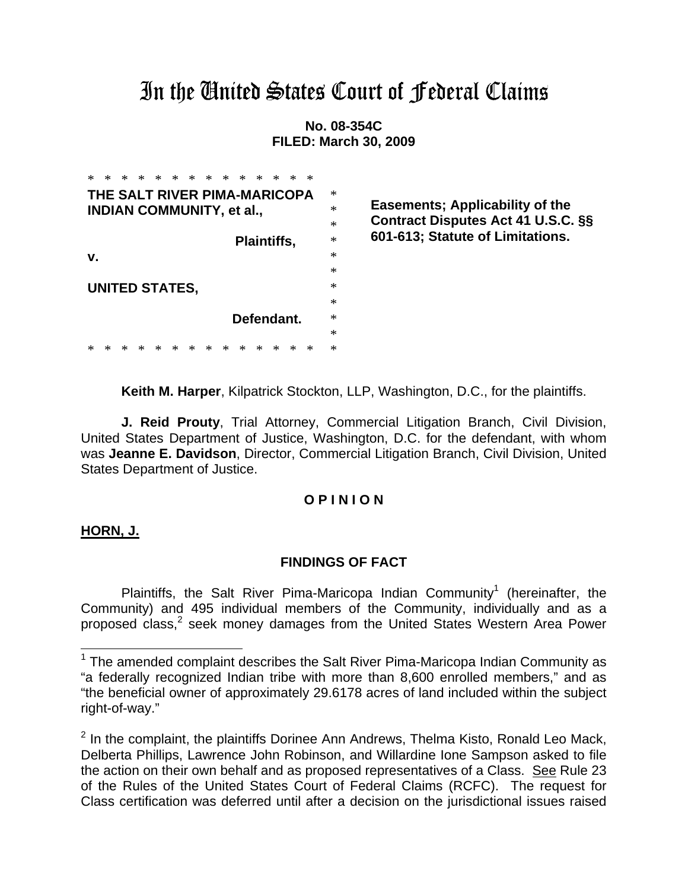# In the Ginited States Court of Jederal Claims

**No. 08-354C FILED: March 30, 2009** 

| ×<br>*<br>∗<br>×<br>∗<br>*<br>*<br>× | ∗<br>×<br>×<br>∗<br>*<br>* |
|--------------------------------------|----------------------------|
| THE SALT RIVER PIMA-MARICOPA         | ∗                          |
| <b>INDIAN COMMUNITY, et al.,</b>     | *                          |
|                                      | $\ast$                     |
|                                      | ∗<br><b>Plaintiffs,</b>    |
| v.                                   | $\ast$                     |
|                                      | $\ast$                     |
| <b>UNITED STATES,</b>                | $\ast$                     |
|                                      | $\ast$                     |
|                                      | $\ast$<br>Defendant.       |
|                                      | ∗                          |
| ∗<br>*<br>*<br>×<br>ж<br>ж<br>*      | ∗<br>×<br>*<br>*<br>*<br>ж |

**Easements; Applicability of the Contract Disputes Act 41 U.S.C. §§ 601-613; Statute of Limitations.**

**Keith M. Harper**, Kilpatrick Stockton, LLP, Washington, D.C., for the plaintiffs.

**J. Reid Prouty**, Trial Attorney, Commercial Litigation Branch, Civil Division, United States Department of Justice, Washington, D.C. for the defendant, with whom was **Jeanne E. Davidson**, Director, Commercial Litigation Branch, Civil Division, United States Department of Justice.

# **O P I N I O N**

## **HORN, J.**

l

## **FINDINGS OF FACT**

Plaintiffs, the Salt River Pima-Maricopa Indian Community<sup>1</sup> (hereinafter, the Community) and 495 individual members of the Community, individually and as a proposed class,<sup>2</sup> seek money damages from the United States Western Area Power

 $1$  The amended complaint describes the Salt River Pima-Maricopa Indian Community as "a federally recognized Indian tribe with more than 8,600 enrolled members," and as "the beneficial owner of approximately 29.6178 acres of land included within the subject right-of-way."

 $2$  In the complaint, the plaintiffs Dorinee Ann Andrews, Thelma Kisto, Ronald Leo Mack, Delberta Phillips, Lawrence John Robinson, and Willardine Ione Sampson asked to file the action on their own behalf and as proposed representatives of a Class. See Rule 23 of the Rules of the United States Court of Federal Claims (RCFC). The request for Class certification was deferred until after a decision on the jurisdictional issues raised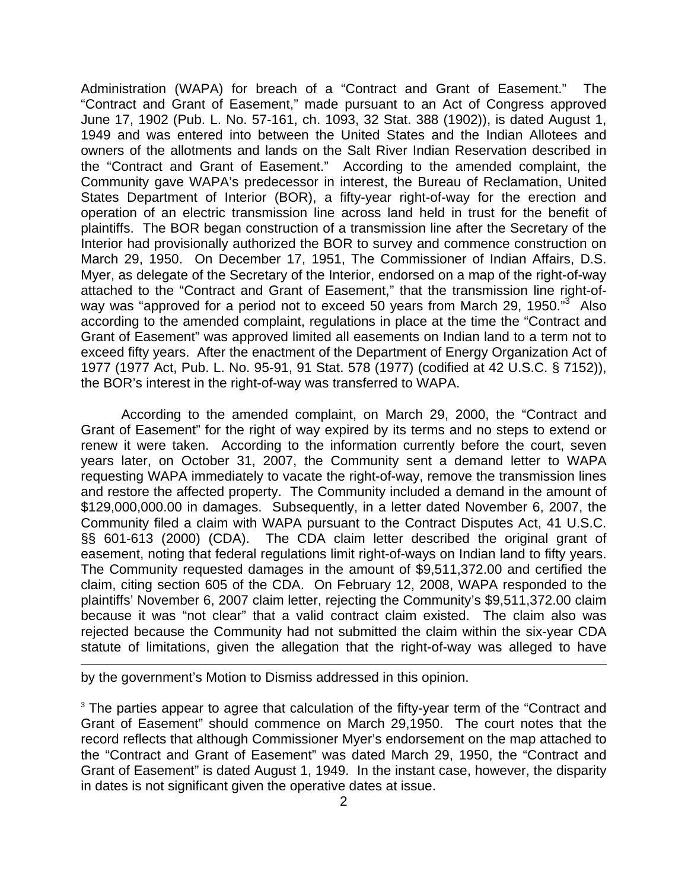Administration (WAPA) for breach of a "Contract and Grant of Easement." The "Contract and Grant of Easement," made pursuant to an Act of Congress approved June 17, 1902 (Pub. L. No. 57-161, ch. 1093, 32 Stat. 388 (1902)), is dated August 1, 1949 and was entered into between the United States and the Indian Allotees and owners of the allotments and lands on the Salt River Indian Reservation described in the "Contract and Grant of Easement." According to the amended complaint, the Community gave WAPA's predecessor in interest, the Bureau of Reclamation, United States Department of Interior (BOR), a fifty-year right-of-way for the erection and operation of an electric transmission line across land held in trust for the benefit of plaintiffs. The BOR began construction of a transmission line after the Secretary of the Interior had provisionally authorized the BOR to survey and commence construction on March 29, 1950. On December 17, 1951, The Commissioner of Indian Affairs, D.S. Myer, as delegate of the Secretary of the Interior, endorsed on a map of the right-of-way attached to the "Contract and Grant of Easement," that the transmission line right-ofway was "approved for a period not to exceed 50 years from March 29, 1950."<sup>3</sup> Also according to the amended complaint, regulations in place at the time the "Contract and Grant of Easement" was approved limited all easements on Indian land to a term not to exceed fifty years. After the enactment of the Department of Energy Organization Act of 1977 (1977 Act, Pub. L. No. 95-91, 91 Stat. 578 (1977) (codified at 42 U.S.C. § 7152)), the BOR's interest in the right-of-way was transferred to WAPA.

 According to the amended complaint, on March 29, 2000, the "Contract and Grant of Easement" for the right of way expired by its terms and no steps to extend or renew it were taken. According to the information currently before the court, seven years later, on October 31, 2007, the Community sent a demand letter to WAPA requesting WAPA immediately to vacate the right-of-way, remove the transmission lines and restore the affected property. The Community included a demand in the amount of \$129,000,000.00 in damages. Subsequently, in a letter dated November 6, 2007, the Community filed a claim with WAPA pursuant to the Contract Disputes Act, 41 U.S.C. §§ 601-613 (2000) (CDA). The CDA claim letter described the original grant of easement, noting that federal regulations limit right-of-ways on Indian land to fifty years. The Community requested damages in the amount of \$9,511,372.00 and certified the claim, citing section 605 of the CDA. On February 12, 2008, WAPA responded to the plaintiffs' November 6, 2007 claim letter, rejecting the Community's \$9,511,372.00 claim because it was "not clear" that a valid contract claim existed. The claim also was rejected because the Community had not submitted the claim within the six-year CDA statute of limitations, given the allegation that the right-of-way was alleged to have

by the government's Motion to Dismiss addressed in this opinion.

l

<sup>3</sup> The parties appear to agree that calculation of the fifty-year term of the "Contract and Grant of Easement" should commence on March 29,1950. The court notes that the record reflects that although Commissioner Myer's endorsement on the map attached to the "Contract and Grant of Easement" was dated March 29, 1950, the "Contract and Grant of Easement" is dated August 1, 1949. In the instant case, however, the disparity in dates is not significant given the operative dates at issue.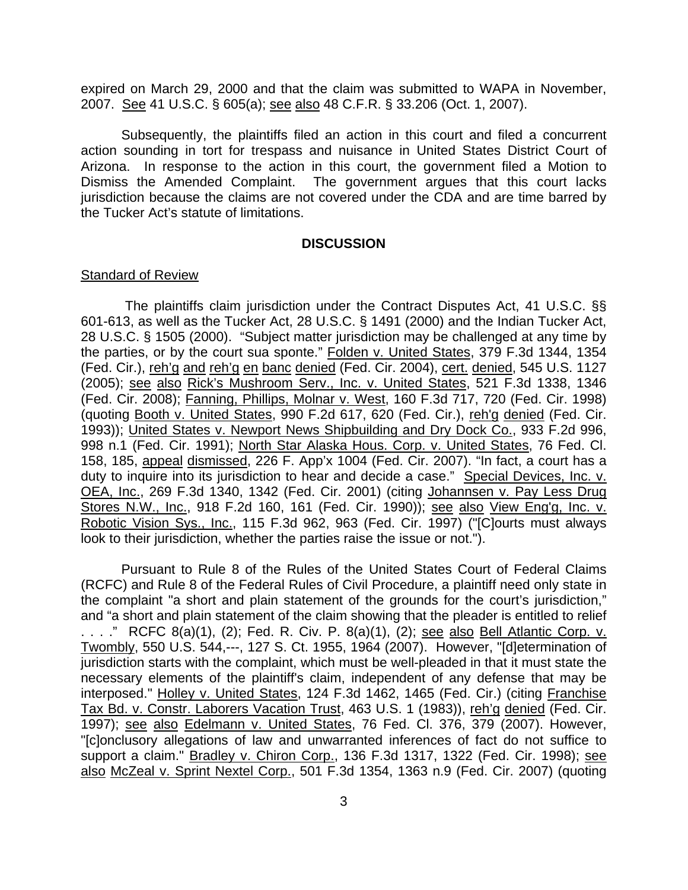expired on March 29, 2000 and that the claim was submitted to WAPA in November, 2007. See 41 U.S.C. § 605(a); see also 48 C.F.R. § 33.206 (Oct. 1, 2007).

 Subsequently, the plaintiffs filed an action in this court and filed a concurrent action sounding in tort for trespass and nuisance in United States District Court of Arizona. In response to the action in this court, the government filed a Motion to Dismiss the Amended Complaint. The government argues that this court lacks jurisdiction because the claims are not covered under the CDA and are time barred by the Tucker Act's statute of limitations.

#### **DISCUSSION**

#### **Standard of Review**

The plaintiffs claim jurisdiction under the Contract Disputes Act, 41 U.S.C. §§ 601-613, as well as the Tucker Act, 28 U.S.C. § 1491 (2000) and the Indian Tucker Act, 28 U.S.C. § 1505 (2000). "Subject matter jurisdiction may be challenged at any time by the parties, or by the court sua sponte." Folden v. United States, 379 F.3d 1344, 1354 (Fed. Cir.), reh'g and reh'g en banc denied (Fed. Cir. 2004), cert. denied, 545 U.S. 1127 (2005); see also Rick's Mushroom Serv., Inc. v. United States, 521 F.3d 1338, 1346 (Fed. Cir. 2008); Fanning, Phillips, Molnar v. West, 160 F.3d 717, 720 (Fed. Cir. 1998) (quoting Booth v. United States, 990 F.2d 617, 620 (Fed. Cir.), reh'g denied (Fed. Cir. 1993)); United States v. Newport News Shipbuilding and Dry Dock Co., 933 F.2d 996, 998 n.1 (Fed. Cir. 1991); North Star Alaska Hous. Corp. v. United States, 76 Fed. Cl. 158, 185, appeal dismissed, 226 F. App'x 1004 (Fed. Cir. 2007). "In fact, a court has a duty to inquire into its jurisdiction to hear and decide a case." Special Devices, Inc. v. OEA, Inc., 269 F.3d 1340, 1342 (Fed. Cir. 2001) (citing Johannsen v. Pay Less Drug Stores N.W., Inc., 918 F.2d 160, 161 (Fed. Cir. 1990)); see also View Eng'g, Inc. v. Robotic Vision Sys., Inc., 115 F.3d 962, 963 (Fed. Cir. 1997) ("[C]ourts must always look to their jurisdiction, whether the parties raise the issue or not.").

Pursuant to Rule 8 of the Rules of the United States Court of Federal Claims (RCFC) and Rule 8 of the Federal Rules of Civil Procedure, a plaintiff need only state in the complaint "a short and plain statement of the grounds for the court's jurisdiction," and "a short and plain statement of the claim showing that the pleader is entitled to relief . . . ." RCFC 8(a)(1), (2); Fed. R. Civ. P. 8(a)(1), (2); see also Bell Atlantic Corp. v. Twombly, 550 U.S. 544,---, 127 S. Ct. 1955, 1964 (2007). However, "[d]etermination of jurisdiction starts with the complaint, which must be well-pleaded in that it must state the necessary elements of the plaintiff's claim, independent of any defense that may be interposed." Holley v. United States, 124 F.3d 1462, 1465 (Fed. Cir.) (citing Franchise Tax Bd. v. Constr. Laborers Vacation Trust, 463 U.S. 1 (1983)), reh'g denied (Fed. Cir. 1997); see also Edelmann v. United States, 76 Fed. Cl. 376, 379 (2007). However, "[c]onclusory allegations of law and unwarranted inferences of fact do not suffice to support a claim." Bradley v. Chiron Corp., 136 F.3d 1317, 1322 (Fed. Cir. 1998); see also McZeal v. Sprint Nextel Corp., 501 F.3d 1354, 1363 n.9 (Fed. Cir. 2007) (quoting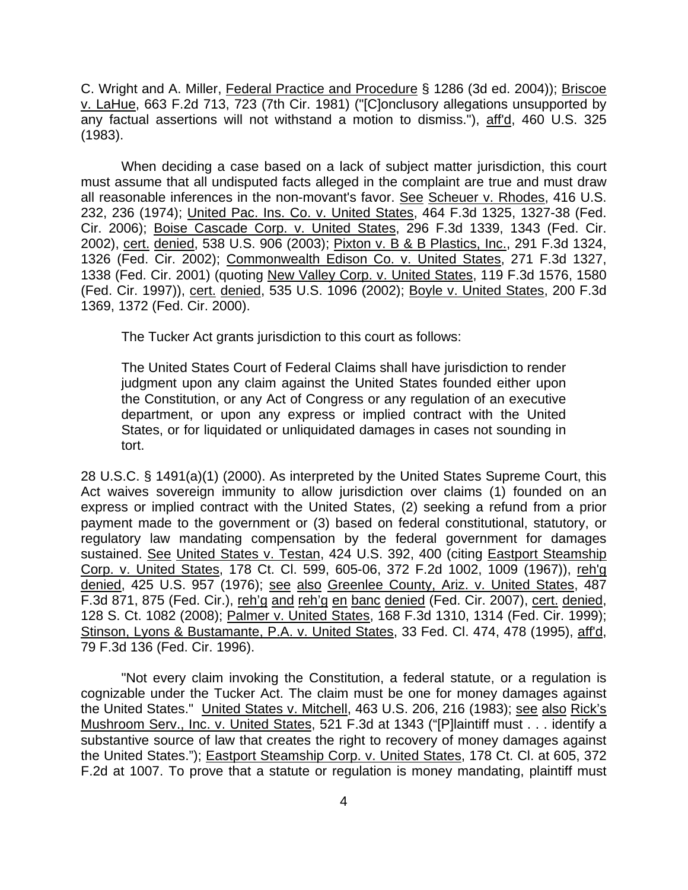C. Wright and A. Miller, Federal Practice and Procedure § 1286 (3d ed. 2004)); Briscoe v. LaHue, 663 F.2d 713, 723 (7th Cir. 1981) ("[C]onclusory allegations unsupported by any factual assertions will not withstand a motion to dismiss."), aff'd, 460 U.S. 325 (1983).

When deciding a case based on a lack of subject matter jurisdiction, this court must assume that all undisputed facts alleged in the complaint are true and must draw all reasonable inferences in the non-movant's favor. See Scheuer v. Rhodes, 416 U.S. 232, 236 (1974); United Pac. Ins. Co. v. United States, 464 F.3d 1325, 1327-38 (Fed. Cir. 2006); Boise Cascade Corp. v. United States, 296 F.3d 1339, 1343 (Fed. Cir. 2002), cert. denied, 538 U.S. 906 (2003); Pixton v. B & B Plastics, Inc., 291 F.3d 1324, 1326 (Fed. Cir. 2002); Commonwealth Edison Co. v. United States, 271 F.3d 1327, 1338 (Fed. Cir. 2001) (quoting New Valley Corp. v. United States, 119 F.3d 1576, 1580 (Fed. Cir. 1997)), cert. denied, 535 U.S. 1096 (2002); Boyle v. United States, 200 F.3d 1369, 1372 (Fed. Cir. 2000).

The Tucker Act grants jurisdiction to this court as follows:

The United States Court of Federal Claims shall have jurisdiction to render judgment upon any claim against the United States founded either upon the Constitution, or any Act of Congress or any regulation of an executive department, or upon any express or implied contract with the United States, or for liquidated or unliquidated damages in cases not sounding in tort.

28 U.S.C. § 1491(a)(1) (2000). As interpreted by the United States Supreme Court, this Act waives sovereign immunity to allow jurisdiction over claims (1) founded on an express or implied contract with the United States, (2) seeking a refund from a prior payment made to the government or (3) based on federal constitutional, statutory, or regulatory law mandating compensation by the federal government for damages sustained. See United States v. Testan, 424 U.S. 392, 400 (citing Eastport Steamship Corp. v. United States, 178 Ct. Cl. 599, 605-06, 372 F.2d 1002, 1009 (1967)), reh'g denied, 425 U.S. 957 (1976); see also Greenlee County, Ariz. v. United States, 487 F.3d 871, 875 (Fed. Cir.), reh'g and reh'g en banc denied (Fed. Cir. 2007), cert. denied, 128 S. Ct. 1082 (2008); Palmer v. United States, 168 F.3d 1310, 1314 (Fed. Cir. 1999); Stinson, Lyons & Bustamante, P.A. v. United States, 33 Fed. Cl. 474, 478 (1995), aff'd, 79 F.3d 136 (Fed. Cir. 1996).

 "Not every claim invoking the Constitution, a federal statute, or a regulation is cognizable under the Tucker Act. The claim must be one for money damages against the United States." United States v. Mitchell, 463 U.S. 206, 216 (1983); see also Rick's Mushroom Serv., Inc. v. United States, 521 F.3d at 1343 ("[P]laintiff must . . . identify a substantive source of law that creates the right to recovery of money damages against the United States."); Eastport Steamship Corp. v. United States, 178 Ct. Cl. at 605, 372 F.2d at 1007. To prove that a statute or regulation is money mandating, plaintiff must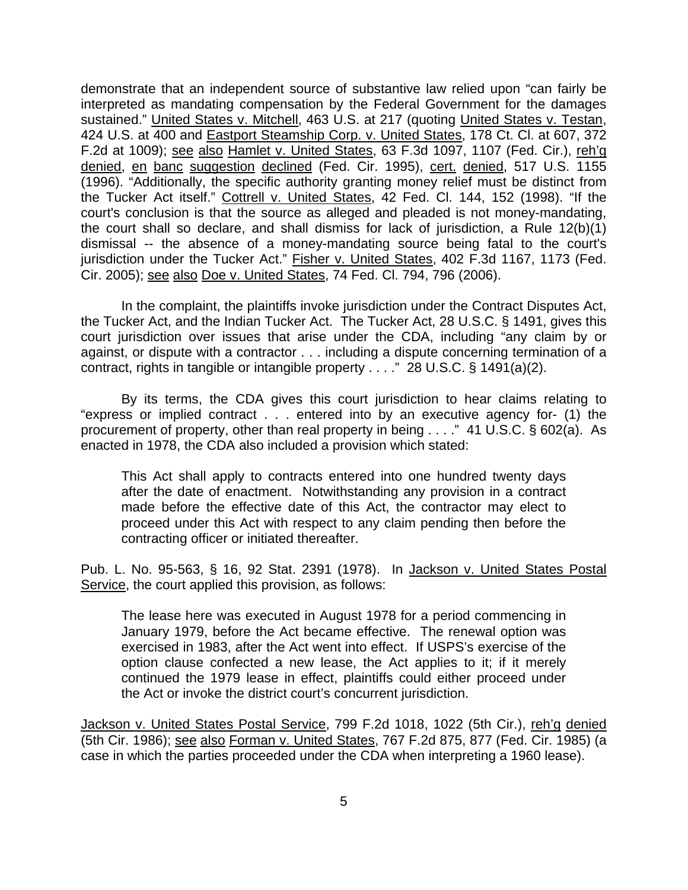demonstrate that an independent source of substantive law relied upon "can fairly be interpreted as mandating compensation by the Federal Government for the damages sustained." United States v. Mitchell, 463 U.S. at 217 (quoting United States v. Testan, 424 U.S. at 400 and Eastport Steamship Corp. v. United States, 178 Ct. Cl. at 607, 372 F.2d at 1009); see also Hamlet v. United States, 63 F.3d 1097, 1107 (Fed. Cir.), reh'g denied, en banc suggestion declined (Fed. Cir. 1995), cert. denied, 517 U.S. 1155 (1996). "Additionally, the specific authority granting money relief must be distinct from the Tucker Act itself." Cottrell v. United States, 42 Fed. Cl. 144, 152 (1998). "If the court's conclusion is that the source as alleged and pleaded is not money-mandating, the court shall so declare, and shall dismiss for lack of jurisdiction, a Rule 12(b)(1) dismissal -- the absence of a money-mandating source being fatal to the court's jurisdiction under the Tucker Act." Fisher v. United States, 402 F.3d 1167, 1173 (Fed. Cir. 2005); see also Doe v. United States, 74 Fed. Cl. 794, 796 (2006).

 In the complaint, the plaintiffs invoke jurisdiction under the Contract Disputes Act, the Tucker Act, and the Indian Tucker Act. The Tucker Act, 28 U.S.C. § 1491, gives this court jurisdiction over issues that arise under the CDA, including "any claim by or against, or dispute with a contractor . . . including a dispute concerning termination of a contract, rights in tangible or intangible property . . . ." 28 U.S.C. § 1491(a)(2).

 By its terms, the CDA gives this court jurisdiction to hear claims relating to "express or implied contract . . . entered into by an executive agency for- (1) the procurement of property, other than real property in being . . . ." 41 U.S.C. § 602(a). As enacted in 1978, the CDA also included a provision which stated:

This Act shall apply to contracts entered into one hundred twenty days after the date of enactment. Notwithstanding any provision in a contract made before the effective date of this Act, the contractor may elect to proceed under this Act with respect to any claim pending then before the contracting officer or initiated thereafter.

Pub. L. No. 95-563, § 16, 92 Stat. 2391 (1978). In Jackson v. United States Postal Service, the court applied this provision, as follows:

The lease here was executed in August 1978 for a period commencing in January 1979, before the Act became effective. The renewal option was exercised in 1983, after the Act went into effect. If USPS's exercise of the option clause confected a new lease, the Act applies to it; if it merely continued the 1979 lease in effect, plaintiffs could either proceed under the Act or invoke the district court's concurrent jurisdiction.

Jackson v. United States Postal Service, 799 F.2d 1018, 1022 (5th Cir.), reh'g denied (5th Cir. 1986); see also Forman v. United States, 767 F.2d 875, 877 (Fed. Cir. 1985) (a case in which the parties proceeded under the CDA when interpreting a 1960 lease).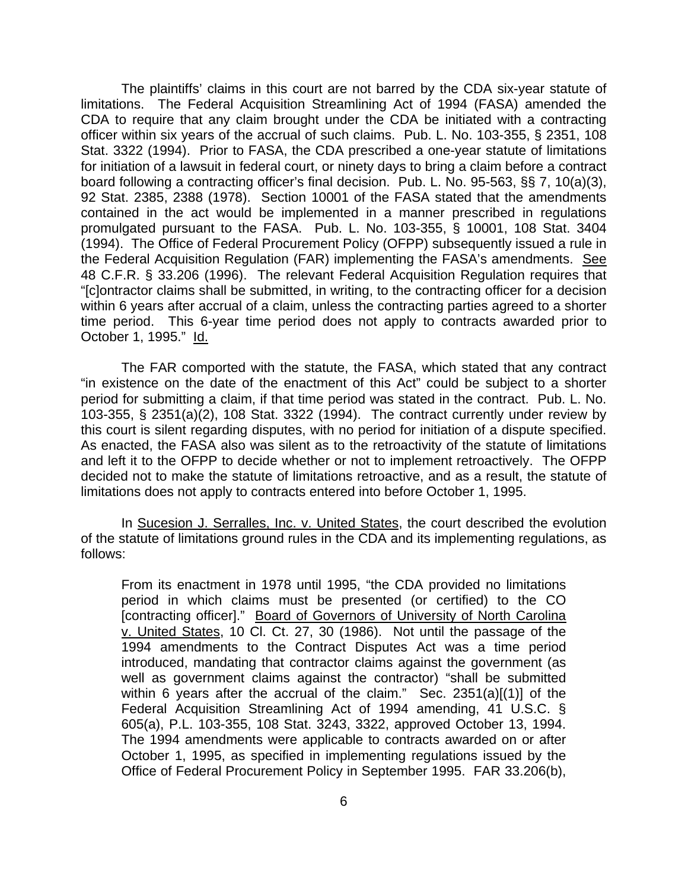The plaintiffs' claims in this court are not barred by the CDA six-year statute of limitations. The Federal Acquisition Streamlining Act of 1994 (FASA) amended the CDA to require that any claim brought under the CDA be initiated with a contracting officer within six years of the accrual of such claims. Pub. L. No. 103-355, § 2351, 108 Stat. 3322 (1994). Prior to FASA, the CDA prescribed a one-year statute of limitations for initiation of a lawsuit in federal court, or ninety days to bring a claim before a contract board following a contracting officer's final decision. Pub. L. No. 95-563, §§ 7, 10(a)(3), 92 Stat. 2385, 2388 (1978). Section 10001 of the FASA stated that the amendments contained in the act would be implemented in a manner prescribed in regulations promulgated pursuant to the FASA. Pub. L. No. 103-355, § 10001, 108 Stat. 3404 (1994). The Office of Federal Procurement Policy (OFPP) subsequently issued a rule in the Federal Acquisition Regulation (FAR) implementing the FASA's amendments. See 48 C.F.R. § 33.206 (1996). The relevant Federal Acquisition Regulation requires that "[c]ontractor claims shall be submitted, in writing, to the contracting officer for a decision within 6 years after accrual of a claim, unless the contracting parties agreed to a shorter time period. This 6-year time period does not apply to contracts awarded prior to October 1, 1995." Id.

 The FAR comported with the statute, the FASA, which stated that any contract "in existence on the date of the enactment of this Act" could be subject to a shorter period for submitting a claim, if that time period was stated in the contract. Pub. L. No. 103-355, § 2351(a)(2), 108 Stat. 3322 (1994). The contract currently under review by this court is silent regarding disputes, with no period for initiation of a dispute specified. As enacted, the FASA also was silent as to the retroactivity of the statute of limitations and left it to the OFPP to decide whether or not to implement retroactively. The OFPP decided not to make the statute of limitations retroactive, and as a result, the statute of limitations does not apply to contracts entered into before October 1, 1995.

In Sucesion J. Serralles, Inc. v. United States, the court described the evolution of the statute of limitations ground rules in the CDA and its implementing regulations, as follows:

From its enactment in 1978 until 1995, "the CDA provided no limitations period in which claims must be presented (or certified) to the CO [contracting officer]." Board of Governors of University of North Carolina v. United States, 10 Cl. Ct. 27, 30 (1986). Not until the passage of the 1994 amendments to the Contract Disputes Act was a time period introduced, mandating that contractor claims against the government (as well as government claims against the contractor) "shall be submitted within 6 years after the accrual of the claim." Sec. 2351(a)[(1)] of the Federal Acquisition Streamlining Act of 1994 amending, 41 U.S.C. § 605(a), P.L. 103-355, 108 Stat. 3243, 3322, approved October 13, 1994. The 1994 amendments were applicable to contracts awarded on or after October 1, 1995, as specified in implementing regulations issued by the Office of Federal Procurement Policy in September 1995. FAR 33.206(b),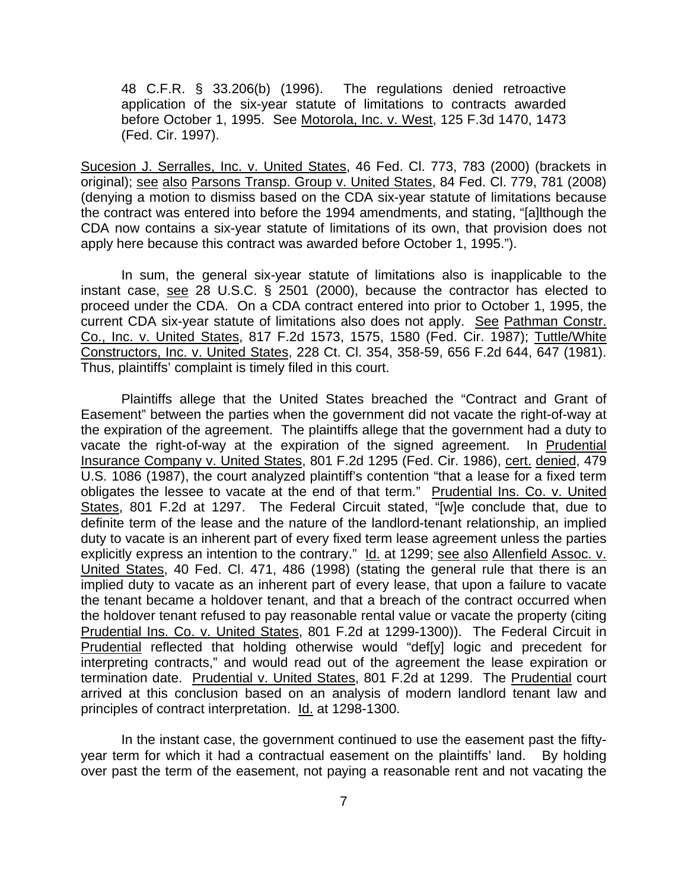48 C.F.R. § 33.206(b) (1996). The regulations denied retroactive application of the six-year statute of limitations to contracts awarded before October 1, 1995. See Motorola, Inc. v. West, 125 F.3d 1470, 1473 (Fed. Cir. 1997).

Sucesion J. Serralles, Inc. v. United States, 46 Fed. Cl. 773, 783 (2000) (brackets in original); see also Parsons Transp. Group v. United States, 84 Fed. Cl. 779, 781 (2008) (denying a motion to dismiss based on the CDA six-year statute of limitations because the contract was entered into before the 1994 amendments, and stating, "[a]lthough the CDA now contains a six-year statute of limitations of its own, that provision does not apply here because this contract was awarded before October 1, 1995.").

 In sum, the general six-year statute of limitations also is inapplicable to the instant case, see 28 U.S.C. § 2501 (2000), because the contractor has elected to proceed under the CDA. On a CDA contract entered into prior to October 1, 1995, the current CDA six-year statute of limitations also does not apply. See Pathman Constr. Co., Inc. v. United States, 817 F.2d 1573, 1575, 1580 (Fed. Cir. 1987); Tuttle/White Constructors, Inc. v. United States, 228 Ct. Cl. 354, 358-59, 656 F.2d 644, 647 (1981). Thus, plaintiffs' complaint is timely filed in this court.

 Plaintiffs allege that the United States breached the "Contract and Grant of Easement" between the parties when the government did not vacate the right-of-way at the expiration of the agreement. The plaintiffs allege that the government had a duty to vacate the right-of-way at the expiration of the signed agreement. In Prudential Insurance Company v. United States, 801 F.2d 1295 (Fed. Cir. 1986), cert. denied, 479 U.S. 1086 (1987), the court analyzed plaintiff's contention "that a lease for a fixed term obligates the lessee to vacate at the end of that term." Prudential Ins. Co. v. United States, 801 F.2d at 1297. The Federal Circuit stated, "[w]e conclude that, due to definite term of the lease and the nature of the landlord-tenant relationship, an implied duty to vacate is an inherent part of every fixed term lease agreement unless the parties explicitly express an intention to the contrary." Id. at 1299; see also Allenfield Assoc. v. United States, 40 Fed. Cl. 471, 486 (1998) (stating the general rule that there is an implied duty to vacate as an inherent part of every lease, that upon a failure to vacate the tenant became a holdover tenant, and that a breach of the contract occurred when the holdover tenant refused to pay reasonable rental value or vacate the property (citing Prudential Ins. Co. v. United States, 801 F.2d at 1299-1300)). The Federal Circuit in Prudential reflected that holding otherwise would "def[y] logic and precedent for interpreting contracts," and would read out of the agreement the lease expiration or termination date. Prudential v. United States, 801 F.2d at 1299. The Prudential court arrived at this conclusion based on an analysis of modern landlord tenant law and principles of contract interpretation. Id. at 1298-1300.

 In the instant case, the government continued to use the easement past the fiftyyear term for which it had a contractual easement on the plaintiffs' land. By holding over past the term of the easement, not paying a reasonable rent and not vacating the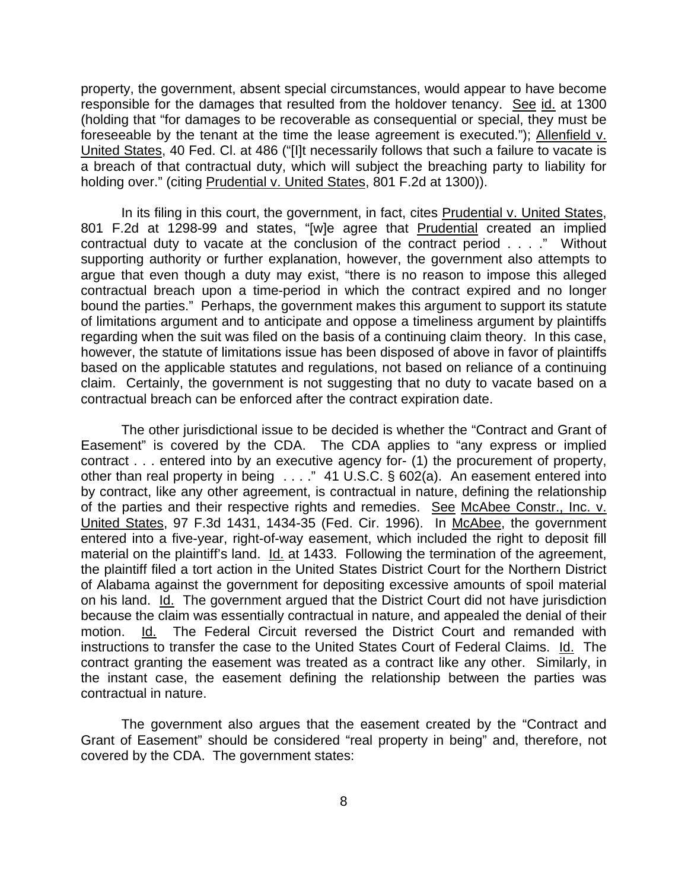property, the government, absent special circumstances, would appear to have become responsible for the damages that resulted from the holdover tenancy. See id. at 1300 (holding that "for damages to be recoverable as consequential or special, they must be foreseeable by the tenant at the time the lease agreement is executed."); Allenfield v. United States, 40 Fed. Cl. at 486 ("[I]t necessarily follows that such a failure to vacate is a breach of that contractual duty, which will subject the breaching party to liability for holding over." (citing Prudential v. United States, 801 F.2d at 1300)).

 In its filing in this court, the government, in fact, cites Prudential v. United States, 801 F.2d at 1298-99 and states, "[w]e agree that Prudential created an implied contractual duty to vacate at the conclusion of the contract period . . . ." Without supporting authority or further explanation, however, the government also attempts to argue that even though a duty may exist, "there is no reason to impose this alleged contractual breach upon a time-period in which the contract expired and no longer bound the parties." Perhaps, the government makes this argument to support its statute of limitations argument and to anticipate and oppose a timeliness argument by plaintiffs regarding when the suit was filed on the basis of a continuing claim theory. In this case, however, the statute of limitations issue has been disposed of above in favor of plaintiffs based on the applicable statutes and regulations, not based on reliance of a continuing claim. Certainly, the government is not suggesting that no duty to vacate based on a contractual breach can be enforced after the contract expiration date.

 The other jurisdictional issue to be decided is whether the "Contract and Grant of Easement" is covered by the CDA. The CDA applies to "any express or implied contract . . . entered into by an executive agency for- (1) the procurement of property, other than real property in being . . . ." 41 U.S.C. § 602(a). An easement entered into by contract, like any other agreement, is contractual in nature, defining the relationship of the parties and their respective rights and remedies. See McAbee Constr., Inc. v. United States, 97 F.3d 1431, 1434-35 (Fed. Cir. 1996). In McAbee, the government entered into a five-year, right-of-way easement, which included the right to deposit fill material on the plaintiff's land. Id. at 1433. Following the termination of the agreement, the plaintiff filed a tort action in the United States District Court for the Northern District of Alabama against the government for depositing excessive amounts of spoil material on his land. Id. The government argued that the District Court did not have jurisdiction because the claim was essentially contractual in nature, and appealed the denial of their motion. Id. The Federal Circuit reversed the District Court and remanded with instructions to transfer the case to the United States Court of Federal Claims. Id. The contract granting the easement was treated as a contract like any other. Similarly, in the instant case, the easement defining the relationship between the parties was contractual in nature.

 The government also argues that the easement created by the "Contract and Grant of Easement" should be considered "real property in being" and, therefore, not covered by the CDA. The government states: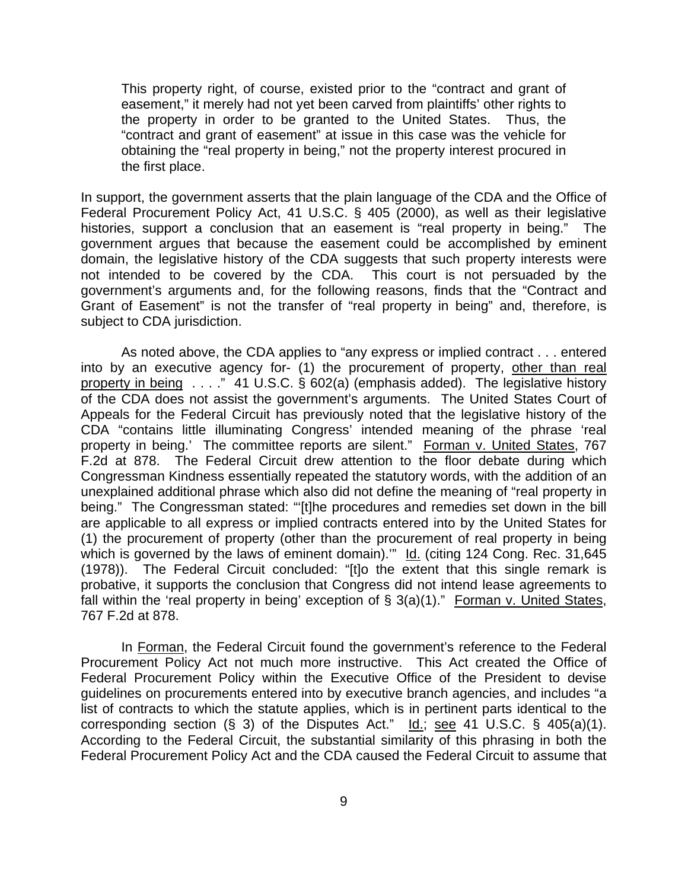This property right, of course, existed prior to the "contract and grant of easement," it merely had not yet been carved from plaintiffs' other rights to the property in order to be granted to the United States. Thus, the "contract and grant of easement" at issue in this case was the vehicle for obtaining the "real property in being," not the property interest procured in the first place.

In support, the government asserts that the plain language of the CDA and the Office of Federal Procurement Policy Act, 41 U.S.C. § 405 (2000), as well as their legislative histories, support a conclusion that an easement is "real property in being." The government argues that because the easement could be accomplished by eminent domain, the legislative history of the CDA suggests that such property interests were not intended to be covered by the CDA. This court is not persuaded by the government's arguments and, for the following reasons, finds that the "Contract and Grant of Easement" is not the transfer of "real property in being" and, therefore, is subject to CDA jurisdiction.

 As noted above, the CDA applies to "any express or implied contract . . . entered into by an executive agency for- (1) the procurement of property, other than real property in being . . . ." 41 U.S.C. § 602(a) (emphasis added). The legislative history of the CDA does not assist the government's arguments. The United States Court of Appeals for the Federal Circuit has previously noted that the legislative history of the CDA "contains little illuminating Congress' intended meaning of the phrase 'real property in being.' The committee reports are silent." Forman v. United States, 767 F.2d at 878. The Federal Circuit drew attention to the floor debate during which Congressman Kindness essentially repeated the statutory words, with the addition of an unexplained additional phrase which also did not define the meaning of "real property in being." The Congressman stated: "'[t]he procedures and remedies set down in the bill are applicable to all express or implied contracts entered into by the United States for (1) the procurement of property (other than the procurement of real property in being which is governed by the laws of eminent domain)."" Id. (citing 124 Cong. Rec. 31,645 (1978)). The Federal Circuit concluded: "[t]o the extent that this single remark is probative, it supports the conclusion that Congress did not intend lease agreements to fall within the 'real property in being' exception of § 3(a)(1)." Forman v. United States, 767 F.2d at 878.

In Forman, the Federal Circuit found the government's reference to the Federal Procurement Policy Act not much more instructive. This Act created the Office of Federal Procurement Policy within the Executive Office of the President to devise guidelines on procurements entered into by executive branch agencies, and includes "a list of contracts to which the statute applies, which is in pertinent parts identical to the corresponding section (§ 3) of the Disputes Act."  $\underline{Id}$ .; see 41 U.S.C. § 405(a)(1). According to the Federal Circuit, the substantial similarity of this phrasing in both the Federal Procurement Policy Act and the CDA caused the Federal Circuit to assume that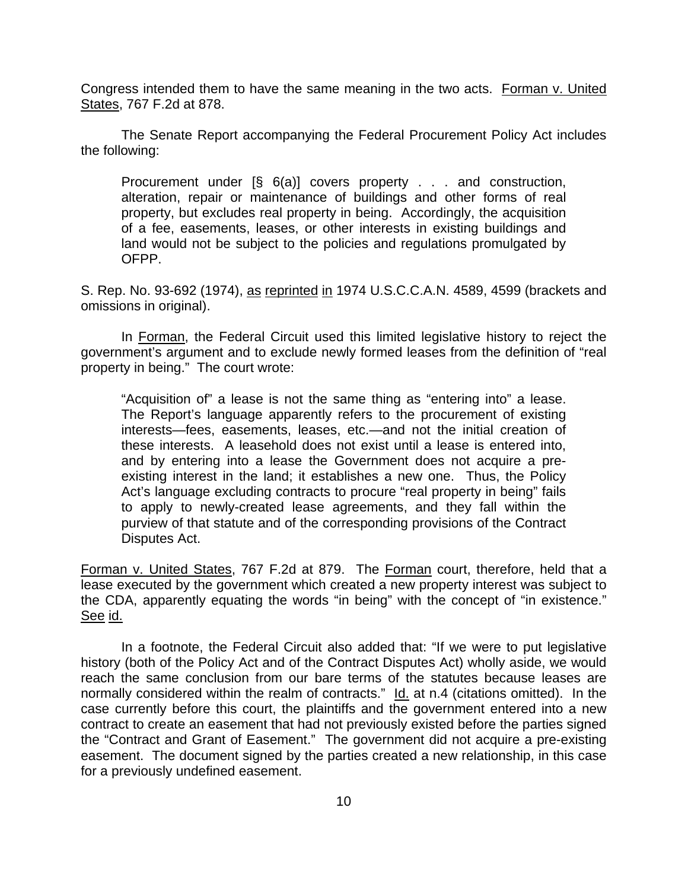Congress intended them to have the same meaning in the two acts. Forman v. United States, 767 F.2d at 878.

 The Senate Report accompanying the Federal Procurement Policy Act includes the following:

Procurement under [§ 6(a)] covers property . . . and construction, alteration, repair or maintenance of buildings and other forms of real property, but excludes real property in being. Accordingly, the acquisition of a fee, easements, leases, or other interests in existing buildings and land would not be subject to the policies and regulations promulgated by OFPP.

S. Rep. No. 93-692 (1974), as reprinted in 1974 U.S.C.C.A.N. 4589, 4599 (brackets and omissions in original).

 In Forman, the Federal Circuit used this limited legislative history to reject the government's argument and to exclude newly formed leases from the definition of "real property in being." The court wrote:

"Acquisition of" a lease is not the same thing as "entering into" a lease. The Report's language apparently refers to the procurement of existing interests—fees, easements, leases, etc.—and not the initial creation of these interests. A leasehold does not exist until a lease is entered into, and by entering into a lease the Government does not acquire a preexisting interest in the land; it establishes a new one. Thus, the Policy Act's language excluding contracts to procure "real property in being" fails to apply to newly-created lease agreements, and they fall within the purview of that statute and of the corresponding provisions of the Contract Disputes Act.

Forman v. United States, 767 F.2d at 879. The Forman court, therefore, held that a lease executed by the government which created a new property interest was subject to the CDA, apparently equating the words "in being" with the concept of "in existence." See id.

 In a footnote, the Federal Circuit also added that: "If we were to put legislative history (both of the Policy Act and of the Contract Disputes Act) wholly aside, we would reach the same conclusion from our bare terms of the statutes because leases are normally considered within the realm of contracts." Id. at n.4 (citations omitted). In the case currently before this court, the plaintiffs and the government entered into a new contract to create an easement that had not previously existed before the parties signed the "Contract and Grant of Easement." The government did not acquire a pre-existing easement. The document signed by the parties created a new relationship, in this case for a previously undefined easement.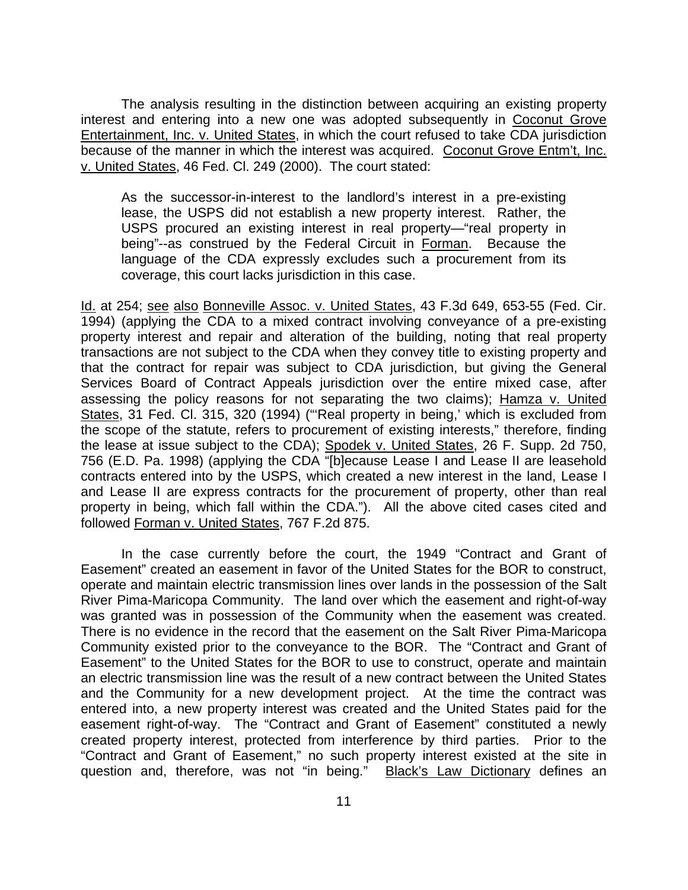The analysis resulting in the distinction between acquiring an existing property interest and entering into a new one was adopted subsequently in Coconut Grove Entertainment, Inc. v. United States, in which the court refused to take CDA jurisdiction because of the manner in which the interest was acquired. Coconut Grove Entm't, Inc. v. United States, 46 Fed. Cl. 249 (2000). The court stated:

As the successor-in-interest to the landlord's interest in a pre-existing lease, the USPS did not establish a new property interest. Rather, the USPS procured an existing interest in real property—"real property in being"--as construed by the Federal Circuit in Forman. Because the language of the CDA expressly excludes such a procurement from its coverage, this court lacks jurisdiction in this case.

Id. at 254; see also Bonneville Assoc. v. United States, 43 F.3d 649, 653-55 (Fed. Cir. 1994) (applying the CDA to a mixed contract involving conveyance of a pre-existing property interest and repair and alteration of the building, noting that real property transactions are not subject to the CDA when they convey title to existing property and that the contract for repair was subject to CDA jurisdiction, but giving the General Services Board of Contract Appeals jurisdiction over the entire mixed case, after assessing the policy reasons for not separating the two claims); Hamza v. United States, 31 Fed. Cl. 315, 320 (1994) ("'Real property in being,' which is excluded from the scope of the statute, refers to procurement of existing interests," therefore, finding the lease at issue subject to the CDA); Spodek v. United States, 26 F. Supp. 2d 750, 756 (E.D. Pa. 1998) (applying the CDA "[b]ecause Lease I and Lease II are leasehold contracts entered into by the USPS, which created a new interest in the land, Lease I and Lease II are express contracts for the procurement of property, other than real property in being, which fall within the CDA."). All the above cited cases cited and followed Forman v. United States, 767 F.2d 875.

 In the case currently before the court, the 1949 "Contract and Grant of Easement" created an easement in favor of the United States for the BOR to construct, operate and maintain electric transmission lines over lands in the possession of the Salt River Pima-Maricopa Community. The land over which the easement and right-of-way was granted was in possession of the Community when the easement was created. There is no evidence in the record that the easement on the Salt River Pima-Maricopa Community existed prior to the conveyance to the BOR. The "Contract and Grant of Easement" to the United States for the BOR to use to construct, operate and maintain an electric transmission line was the result of a new contract between the United States and the Community for a new development project. At the time the contract was entered into, a new property interest was created and the United States paid for the easement right-of-way. The "Contract and Grant of Easement" constituted a newly created property interest, protected from interference by third parties. Prior to the "Contract and Grant of Easement," no such property interest existed at the site in question and, therefore, was not "in being." Black's Law Dictionary defines an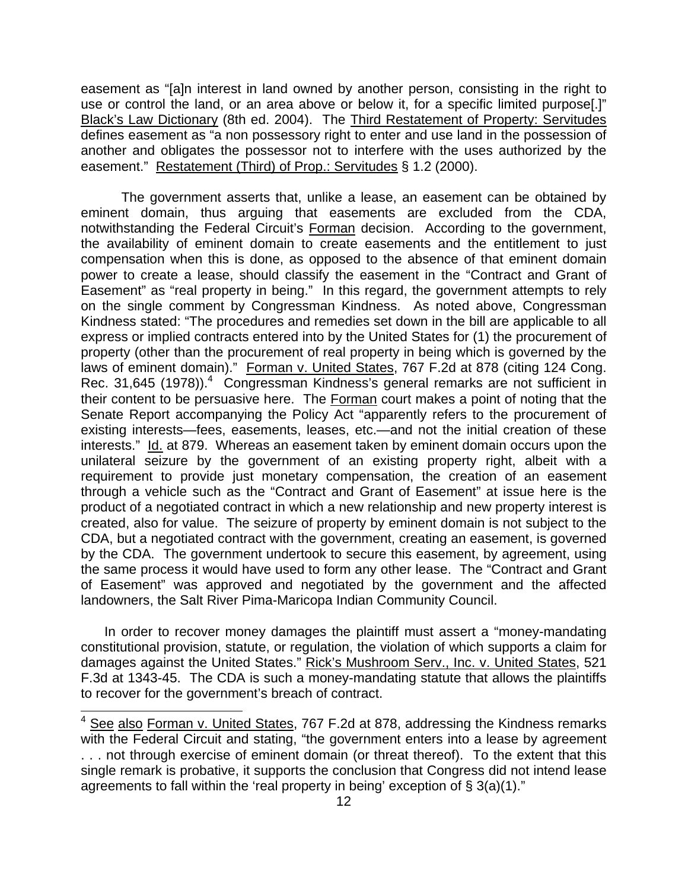easement as "[a]n interest in land owned by another person, consisting in the right to use or control the land, or an area above or below it, for a specific limited purpose[.]" Black's Law Dictionary (8th ed. 2004). The Third Restatement of Property: Servitudes defines easement as "a non possessory right to enter and use land in the possession of another and obligates the possessor not to interfere with the uses authorized by the easement." Restatement (Third) of Prop.: Servitudes § 1.2 (2000).

 The government asserts that, unlike a lease, an easement can be obtained by eminent domain, thus arguing that easements are excluded from the CDA, notwithstanding the Federal Circuit's Forman decision. According to the government, the availability of eminent domain to create easements and the entitlement to just compensation when this is done, as opposed to the absence of that eminent domain power to create a lease, should classify the easement in the "Contract and Grant of Easement" as "real property in being." In this regard, the government attempts to rely on the single comment by Congressman Kindness. As noted above, Congressman Kindness stated: "The procedures and remedies set down in the bill are applicable to all express or implied contracts entered into by the United States for (1) the procurement of property (other than the procurement of real property in being which is governed by the laws of eminent domain)." Forman v. United States, 767 F.2d at 878 (citing 124 Cong. Rec. 31,645 (1978)).<sup>4</sup> Congressman Kindness's general remarks are not sufficient in their content to be persuasive here. The Forman court makes a point of noting that the Senate Report accompanying the Policy Act "apparently refers to the procurement of existing interests—fees, easements, leases, etc.—and not the initial creation of these interests." Id. at 879. Whereas an easement taken by eminent domain occurs upon the unilateral seizure by the government of an existing property right, albeit with a requirement to provide just monetary compensation, the creation of an easement through a vehicle such as the "Contract and Grant of Easement" at issue here is the product of a negotiated contract in which a new relationship and new property interest is created, also for value. The seizure of property by eminent domain is not subject to the CDA, but a negotiated contract with the government, creating an easement, is governed by the CDA. The government undertook to secure this easement, by agreement, using the same process it would have used to form any other lease. The "Contract and Grant of Easement" was approved and negotiated by the government and the affected landowners, the Salt River Pima-Maricopa Indian Community Council.

 In order to recover money damages the plaintiff must assert a "money-mandating constitutional provision, statute, or regulation, the violation of which supports a claim for damages against the United States." Rick's Mushroom Serv., Inc. v. United States, 521 F.3d at 1343-45. The CDA is such a money-mandating statute that allows the plaintiffs to recover for the government's breach of contract.

l

<sup>&</sup>lt;sup>4</sup> See also Forman v. United States, 767 F.2d at 878, addressing the Kindness remarks with the Federal Circuit and stating, "the government enters into a lease by agreement . . . not through exercise of eminent domain (or threat thereof). To the extent that this single remark is probative, it supports the conclusion that Congress did not intend lease agreements to fall within the 'real property in being' exception of § 3(a)(1)."